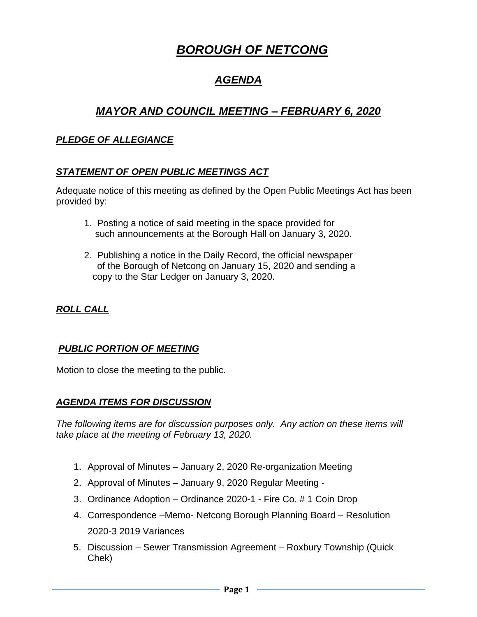# *BOROUGH OF NETCONG*

# *AGENDA*

# *MAYOR AND COUNCIL MEETING – FEBRUARY 6, 2020*

#### *PLEDGE OF ALLEGIANCE*

#### *STATEMENT OF OPEN PUBLIC MEETINGS ACT*

Adequate notice of this meeting as defined by the Open Public Meetings Act has been provided by:

- 1. Posting a notice of said meeting in the space provided for such announcements at the Borough Hall on January 3, 2020.
- 2. Publishing a notice in the Daily Record, the official newspaper of the Borough of Netcong on January 15, 2020 and sending a copy to the Star Ledger on January 3, 2020.

# *ROLL CALL*

#### *PUBLIC PORTION OF MEETING*

Motion to close the meeting to the public.

#### *AGENDA ITEMS FOR DISCUSSION*

*The following items are for discussion purposes only. Any action on these items will take place at the meeting of February 13, 2020.* 

- 1. Approval of Minutes January 2, 2020 Re-organization Meeting
- 2. Approval of Minutes January 9, 2020 Regular Meeting -
- 3. Ordinance Adoption Ordinance 2020-1 Fire Co. # 1 Coin Drop
- 4. Correspondence –Memo- Netcong Borough Planning Board Resolution 2020-3 2019 Variances
- 5. Discussion Sewer Transmission Agreement Roxbury Township (Quick Chek)